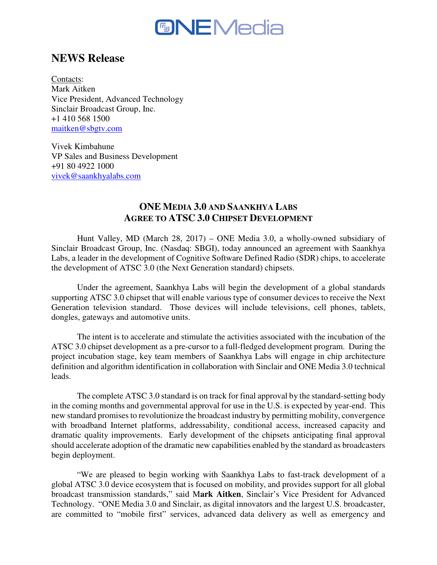

# **NEWS Release**

Contacts: Mark Aitken Vice President, Advanced Technology Sinclair Broadcast Group, Inc. +1 410 568 1500 maitken@sbgtv.com

Vivek Kimbahune VP Sales and Business Development +91 80 4922 1000 vivek@saankhyalabs.com

## **ONE MEDIA 3.0 AND SAANKHYA LABS AGREE TO ATSC 3.0 CHIPSET DEVELOPMENT**

 Hunt Valley, MD (March 28, 2017) – ONE Media 3.0, a wholly-owned subsidiary of Sinclair Broadcast Group, Inc. (Nasdaq: SBGI), today announced an agreement with Saankhya Labs, a leader in the development of Cognitive Software Defined Radio (SDR) chips, to accelerate the development of ATSC 3.0 (the Next Generation standard) chipsets.

 Under the agreement, Saankhya Labs will begin the development of a global standards supporting ATSC 3.0 chipset that will enable various type of consumer devices to receive the Next Generation television standard. Those devices will include televisions, cell phones, tablets, dongles, gateways and automotive units.

 The intent is to accelerate and stimulate the activities associated with the incubation of the ATSC 3.0 chipset development as a pre-cursor to a full-fledged development program. During the project incubation stage, key team members of Saankhya Labs will engage in chip architecture definition and algorithm identification in collaboration with Sinclair and ONE Media 3.0 technical leads.

 The complete ATSC 3.0 standard is on track for final approval by the standard-setting body in the coming months and governmental approval for use in the U.S. is expected by year-end. This new standard promises to revolutionize the broadcast industry by permitting mobility, convergence with broadband Internet platforms, addressability, conditional access, increased capacity and dramatic quality improvements. Early development of the chipsets anticipating final approval should accelerate adoption of the dramatic new capabilities enabled by the standard as broadcasters begin deployment.

 "We are pleased to begin working with Saankhya Labs to fast-track development of a global ATSC 3.0 device ecosystem that is focused on mobility, and provides support for all global broadcast transmission standards," said M**ark Aitken**, Sinclair's Vice President for Advanced Technology. "ONE Media 3.0 and Sinclair, as digital innovators and the largest U.S. broadcaster, are committed to "mobile first" services, advanced data delivery as well as emergency and